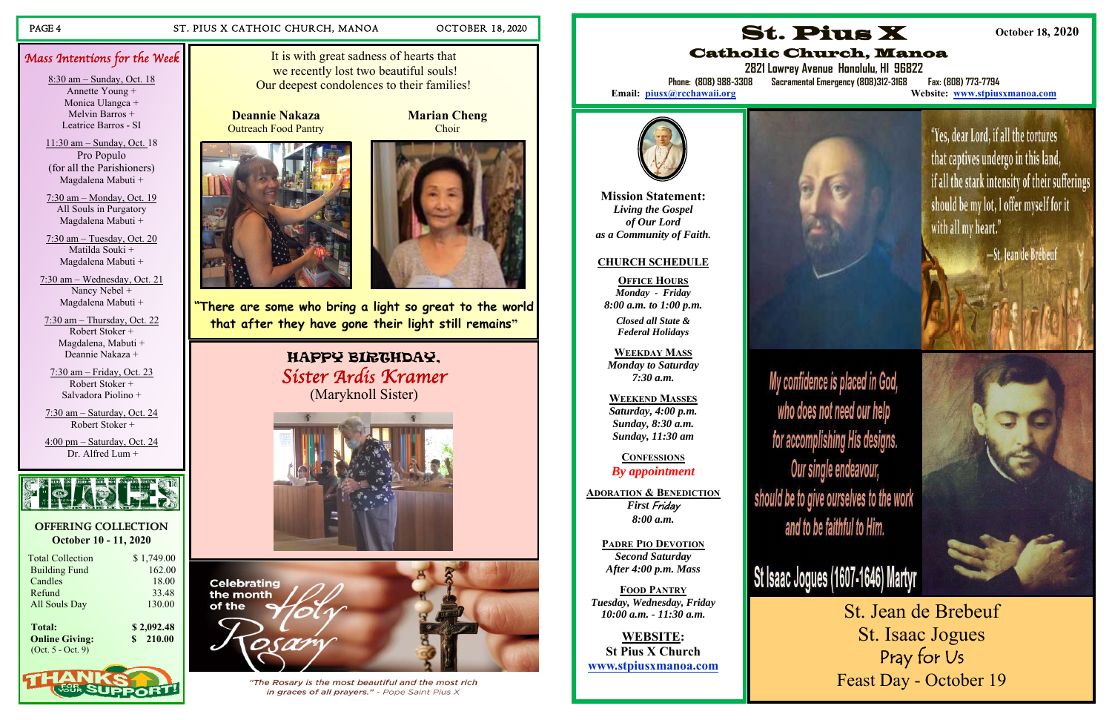### PAGE 4 ST. PIUS X CATHOIC CHURCH, MANOA OCTOBER 18, 2020

#### **OFFERING COLLECTION October 10 - 11, 2020**

| <b>Total Collection</b> | \$1,749.00 |
|-------------------------|------------|
| <b>Building Fund</b>    | 162.00     |
| Candles                 | 18.00      |
| Refund                  | 33.48      |
| <b>All Souls Day</b>    | 130.00     |
| <b>Total:</b>           | \$2,092.48 |

 **Online Giving: \$ 210.00**  (Oct. 5 - Oct. 9)



Mass Intentions for the Week

8:30 am – Sunday, Oct. 18 Annette Young + Monica Ulangca + Melvin Barros + Leatrice Barros - SI 11:30 am – Sunday, Oct. 18 Pro Populo (for all the Parishioners) Magdalena Mabuti + 7:30 am – Monday, Oct. 19 All Souls in Purgatory Magdalena Mabuti + 7:30 am – Tuesday, Oct. 20 Matilda Souki + Magdalena Mabuti +

7:30 am – Wednesday, Oct. 21 Nancy Nebel + Magdalena Mabuti + 7:30 am – Thursday, Oct. 22 Robert Stoker + Magdalena, Mabuti +

Deannie Nakaza +

7:30 am – Friday, Oct. 23 Robert Stoker + Salvadora Piolino +

7:30 am – Saturday, Oct. 24 Robert Stoker +

4:00 pm – Saturday, Oct. 24 Dr. Alfred Lum +



**2821 Lowrey Avenue Honolulu, HI 96822 Phone: (808) 988-3308 Sacramental Emergency (808)312-3168 Fax: (808) 773-7794 Website: www.stpiusxmanoa.com** 



It is with great sadness of hearts that we recently lost two beautiful souls! Our deepest condolences to their families!

**"There are some who bring a light so great to the world that after they have gone their light still remains"** 

> HAPPY BIRTHDAY, Sister Ardis Kramer (Maryknoll Sister)





"The Rosary is the most beautiful and the most rich in graces of all prayers." - Pope Saint Pius X

**Deannie Nakaza** Outreach Food Pantry





**Marian Cheng**  Choir

> **Mission Statement:** *Living the Gospel of Our Lord as a Community of Faith.*

#### **CHURCH SCHEDULE**

**OFFICE HOURS***Monday - Friday 8:00 a.m. to 1:00 p.m.* 

*Closed all State & Federal Holidays* 

**WEEKDAY MASS**  *Monday to Saturday 7:30 a.m.* 

**WEEKEND MASSES**  *Saturday, 4:00 p.m. Sunday, 8:30 a.m. Sunday, 11:30 am* 

**CONFESSIONS***By appointment* 

**ADORATION & BENEDICTION** *First* Friday *8:00 a.m.* 

**PADRE PIO DEVOTION***Second Saturday After 4:00 p.m. Mass* 

**FOOD PANTRY***Tuesday, Wednesday, Friday 10:00 a.m. - 11:30 a.m.* 

**WEBSITE:St Pius X Church www.stpiusxmanoa.com** 



My confidence is placed in God, who does not need our help for accomplishing His designs. Our single endeavour, should be to give ourselves to the work and to be faithful to Him.

St. Pius X Catholic Church, Manoa

Email: piusx@rcchawaii.org

**October 18, 2020** 

"Yes, dear Lord, if all the tortures

that captives undergo in this land, if all the stark intensity of their sufferings should be my lot, I offer myself for it with all my heart." -St. Jean de Brébeuf



# St Isaac Jogues (1607-1646) Martyr

St. Jean de Brebeuf St. Isaac Jogues Pray for Us Feast Day - October 19